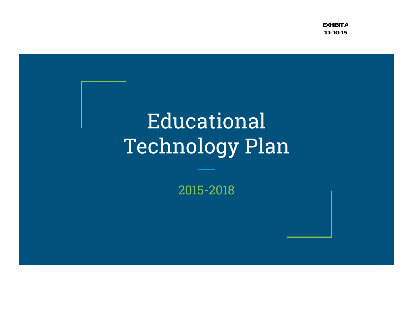**EXHIBIT A11-10-15**

# Educational Technology Plan

2015-2018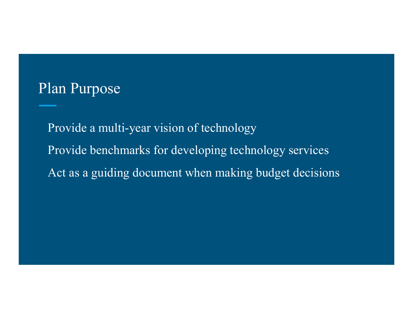## Plan Purpose

Provide a multi-year vision of technologyProvide benchmarks for developing technology servicesAct as a guiding document when making budget decisions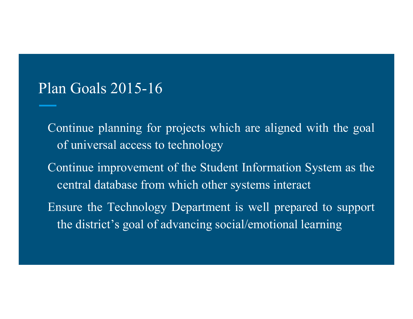#### Plan Goals 2015-16

Continue <sup>p</sup>lanning for projects which are aligned with the goa<sup>l</sup> of universal access to technology Continue improvement of the Student Information System as the central database from which other systems interact

Ensure the Technology Department is well prepared to suppor<sup>t</sup> the district's goa<sup>l</sup> of advancing social/emotional learning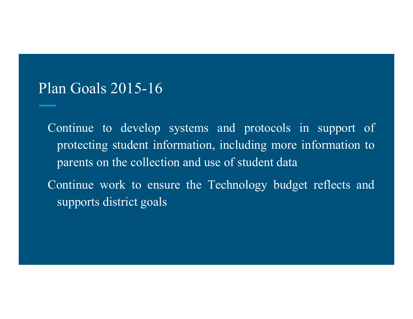#### Plan Goals 2015-16

Continue to develop systems and protocols in suppor<sup>t</sup> of protecting student information, including more information to parents on the collection and use of student data Continue work to ensure the Technology budget reflects and supports district goals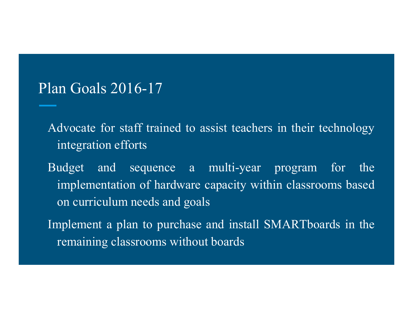### Plan Goals 2016-17

- Advocate for staff trained to assist teachers in their technology integration efforts
- Budget and sequence <sup>a</sup> multi-year program for the implementation of hardware capacity within classrooms based on curriculum needs and goals
- Implement <sup>a</sup> <sup>p</sup>lan to purchase and install SMARTboards in the remaining classrooms without boards